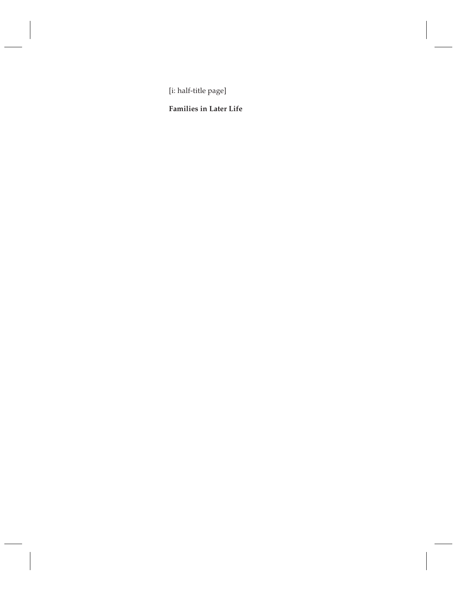[i: half-title page]

**Families in Later Life**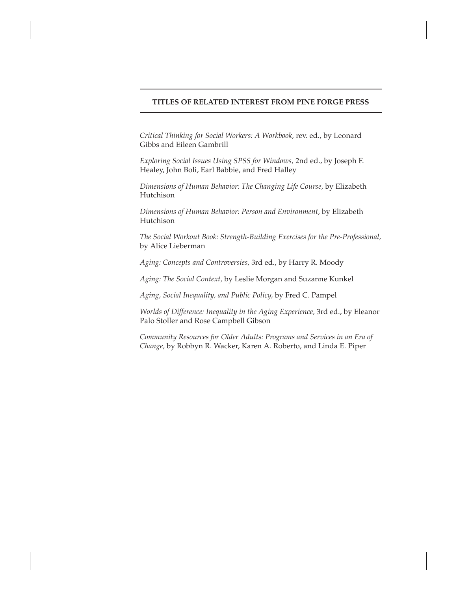#### **TITLES OF RELATED INTEREST FROM PINE FORGE PRESS**

*Critical Thinking for Social Workers: A Workbook,* rev. ed., by Leonard Gibbs and Eileen Gambrill

*Exploring Social Issues Using SPSS for Windows,* 2nd ed., by Joseph F. Healey, John Boli, Earl Babbie, and Fred Halley

*Dimensions of Human Behavior: The Changing Life Course,* by Elizabeth Hutchison

*Dimensions of Human Behavior: Person and Environment,* by Elizabeth Hutchison

*The Social Workout Book: Strength-Building Exercises for the Pre-Professional,* by Alice Lieberman

*Aging: Concepts and Controversies,* 3rd ed., by Harry R. Moody

*Aging: The Social Context,* by Leslie Morgan and Suzanne Kunkel

*Aging, Social Inequality, and Public Policy,* by Fred C. Pampel

*Worlds of Difference: Inequality in the Aging Experience,* 3rd ed., by Eleanor Palo Stoller and Rose Campbell Gibson

*Community Resources for Older Adults: Programs and Services in an Era of Change,* by Robbyn R. Wacker, Karen A. Roberto, and Linda E. Piper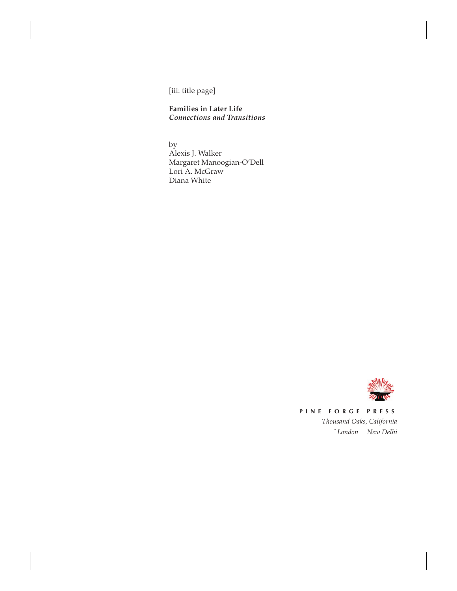[iii: title page]

**Families in Later Life** *Connections and Transitions*

by Alexis J. Walker Margaret Manoogian-O'Dell Lori A. McGraw Diana White



**PINE FORGE PRESS** *Thousand Oaks, California ¨ London New Delhi*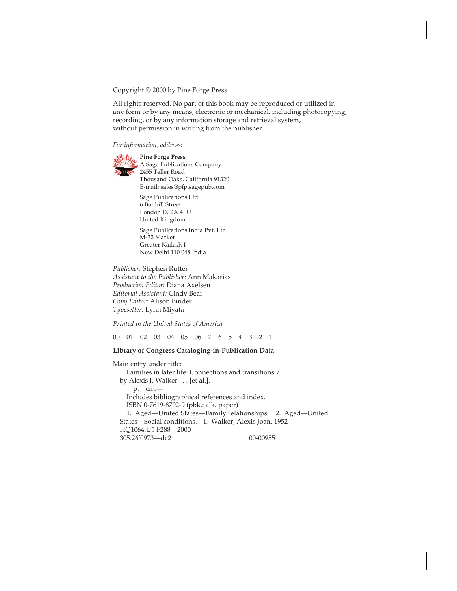Copyright © 2000 by Pine Forge Press

All rights reserved. No part of this book may be reproduced or utilized in any form or by any means, electronic or mechanical, including photocopying, recording, or by any information storage and retrieval system, without permission in writing from the publisher.

#### *For information, address:*



**Pine Forge Press** A Sage Publications Company 2455 Teller Road Thousand Oaks, California 91320 E-mail: sales@pfp.sagepub.com

Sage Publications Ltd. 6 Bonhill Street London EC2A 4PU United Kingdom

Sage Publications India Pvt. Ltd. M-32 Market Greater Kailash I New Delhi 110 048 India

*Publisher:* Stephen Rutter *Assistant to the Publisher:* Ann Makarias *Production Editor:* Diana Axelsen *Editorial Assistant:* Cindy Bear *Copy Editor:* Alison Binder *Typesetter:* Lynn Miyata

*Printed in the United States of America*

00 01 02 03 04 05 06 7 6 5 4 3 2 1

#### **Library of Congress Cataloging-in-Publication Data**

Main entry under title: Families in later life: Connections and transitions / by Alexis J. Walker . . . [et al.]. p. cm.— Includes bibliographical references and index. ISBN 0-7619-8702-9 (pbk.: alk. paper) 1. Aged—United States—Family relationships. 2. Aged—United States—Social conditions. I. Walker, Alexis Joan, 1952– HQ1064.U5 F288 2000 305.26′0973—dc21 00-009551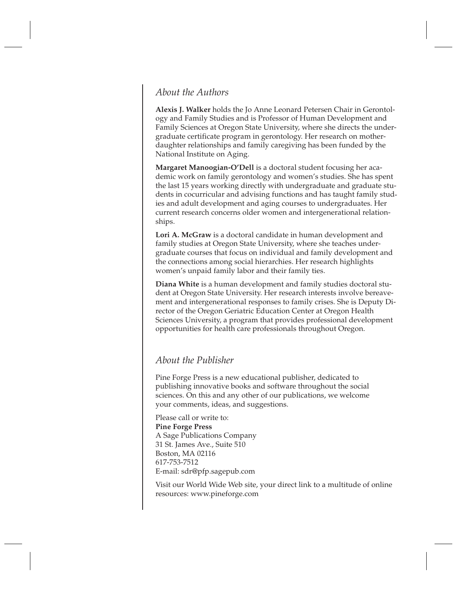## *About the Authors*

**Alexis J. Walker** holds the Jo Anne Leonard Petersen Chair in Gerontology and Family Studies and is Professor of Human Development and Family Sciences at Oregon State University, where she directs the undergraduate certificate program in gerontology. Her research on motherdaughter relationships and family caregiving has been funded by the National Institute on Aging.

**Margaret Manoogian-O'Dell** is a doctoral student focusing her academic work on family gerontology and women's studies. She has spent the last 15 years working directly with undergraduate and graduate students in cocurricular and advising functions and has taught family studies and adult development and aging courses to undergraduates. Her current research concerns older women and intergenerational relationships.

**Lori A. McGraw** is a doctoral candidate in human development and family studies at Oregon State University, where she teaches undergraduate courses that focus on individual and family development and the connections among social hierarchies. Her research highlights women's unpaid family labor and their family ties.

**Diana White** is a human development and family studies doctoral student at Oregon State University. Her research interests involve bereavement and intergenerational responses to family crises. She is Deputy Director of the Oregon Geriatric Education Center at Oregon Health Sciences University, a program that provides professional development opportunities for health care professionals throughout Oregon.

## *About the Publisher*

Pine Forge Press is a new educational publisher, dedicated to publishing innovative books and software throughout the social sciences. On this and any other of our publications, we welcome your comments, ideas, and suggestions.

Please call or write to: **Pine Forge Press** A Sage Publications Company 31 St. James Ave., Suite 510 Boston, MA 02116 617-753-7512 E-mail: sdr@pfp.sagepub.com

Visit our World Wide Web site, your direct link to a multitude of online resources: www.pineforge.com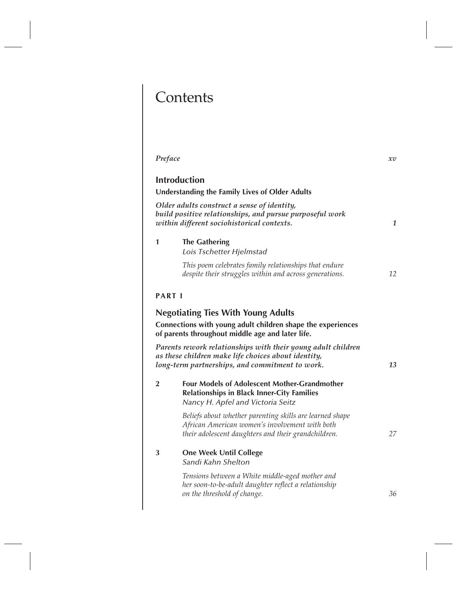# **Contents**

|               | <b>Introduction</b>                                                                                                                                                                                                                                                                       |  |
|---------------|-------------------------------------------------------------------------------------------------------------------------------------------------------------------------------------------------------------------------------------------------------------------------------------------|--|
|               | <b>Understanding the Family Lives of Older Adults</b>                                                                                                                                                                                                                                     |  |
|               | Older adults construct a sense of identity,<br>build positive relationships, and pursue purposeful work<br>within different sociohistorical contexts.                                                                                                                                     |  |
| 1             | <b>The Gathering</b><br>Lois Tschetter Hjelmstad                                                                                                                                                                                                                                          |  |
|               | This poem celebrates family relationships that endure<br>despite their struggles within and across generations.                                                                                                                                                                           |  |
| <b>PART I</b> |                                                                                                                                                                                                                                                                                           |  |
|               | <b>Negotiating Ties With Young Adults</b>                                                                                                                                                                                                                                                 |  |
|               | Connections with young adult children shape the experiences<br>of parents throughout middle age and later life.<br>Parents rework relationships with their young adult children<br>as these children make life choices about identity,<br>long-term partnerships, and commitment to work. |  |
|               | <b>Four Models of Adolescent Mother-Grandmother</b><br><b>Relationships in Black Inner-City Families</b><br>Nancy H. Apfel and Victoria Seitz                                                                                                                                             |  |
|               | Beliefs about whether parenting skills are learned shape<br>African American women's involvement with both<br>their adolescent daughters and their grandchildren.                                                                                                                         |  |
| $\bf{2}$<br>3 | <b>One Week Until College</b><br>Sandi Kahn Shelton                                                                                                                                                                                                                                       |  |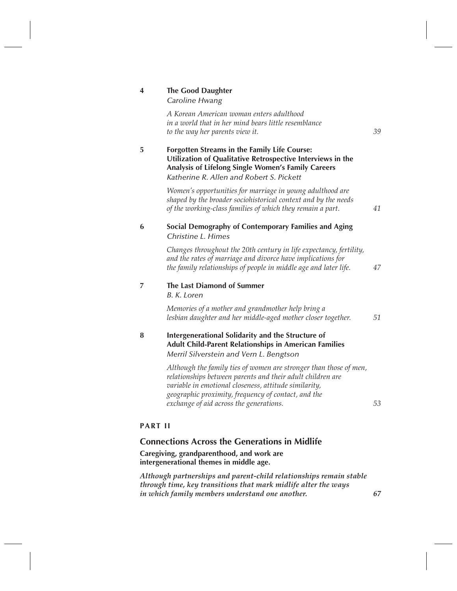#### **4 The Good Daughter** *Caroline Hwang*

*A Korean American woman enters adulthood in a world that in her mind bears little resemblance to the way her parents view it. 39*

#### **5 Forgotten Streams in the Family Life Course: Utilization of Qualitative Retrospective Interviews in the Analysis of Lifelong Single Women's Family Careers** *Katherine R. Allen and Robert S. Pickett*

*Women's opportunities for marriage in young adulthood are shaped by the broader sociohistorical context and by the needs of the working-class families of which they remain a part. 41*

#### **6 Social Demography of Contemporary Families and Aging** *Christine L. Himes*

*Changes throughout the 20th century in life expectancy, fertility, and the rates of marriage and divorce have implications for the family relationships of people in middle age and later life. 47*

#### **7 The Last Diamond of Summer** *B. K. Loren*

*Memories of a mother and grandmother help bring a lesbian daughter and her middle-aged mother closer together. 51*

#### **8 Intergenerational Solidarity and the Structure of Adult Child-Parent Relationships in American Families** *Merril Silverstein and Vern L. Bengtson*

*Although the family ties of women are stronger than those of men, relationships between parents and their adult children are variable in emotional closeness, attitude similarity, geographic proximity, frequency of contact, and the exchange of aid across the generations. 53*

#### **PART II**

#### **Connections Across the Generations in Midlife**

**Caregiving, grandparenthood, and work are intergenerational themes in middle age.**

*Although partnerships and parent-child relationships remain stable through time, key transitions that mark midlife alter the ways in which family members understand one another. 67*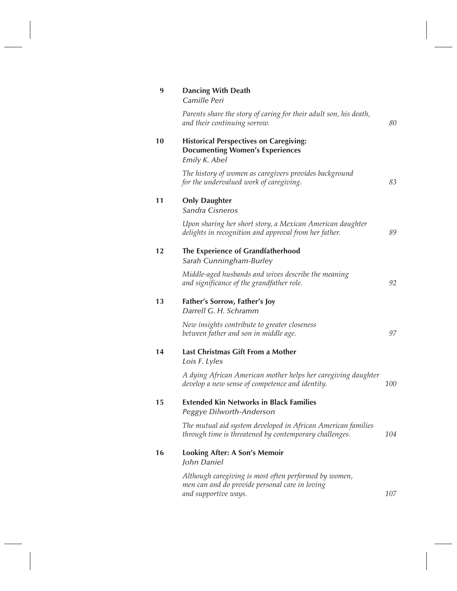| 9  | <b>Dancing With Death</b><br>Camille Peri                                                                                       |     |
|----|---------------------------------------------------------------------------------------------------------------------------------|-----|
|    | Parents share the story of caring for their adult son, his death,<br>and their continuing sorrow.                               | 80  |
| 10 | <b>Historical Perspectives on Caregiving:</b><br><b>Documenting Women's Experiences</b><br>Emily K. Abel                        |     |
|    | The history of women as caregivers provides background<br>for the undervalued work of caregiving.                               | 83  |
| 11 | <b>Only Daughter</b><br>Sandra Cisneros                                                                                         |     |
|    | Upon sharing her short story, a Mexican American daughter<br>delights in recognition and approval from her father.              | 89  |
| 12 | The Experience of Grandfatherhood<br>Sarah Cunningham-Burley                                                                    |     |
|    | Middle-aged husbands and wives describe the meaning<br>and significance of the grandfather role.                                | 92  |
| 13 | Father's Sorrow, Father's Joy<br>Darrell G. H. Schramm                                                                          |     |
|    | New insights contribute to greater closeness<br>between father and son in middle age.                                           | 97  |
| 14 | Last Christmas Gift From a Mother<br>Lois F. Lyles                                                                              |     |
|    | A dying African American mother helps her caregiving daughter<br>develop a new sense of competence and identity.                | 100 |
| 15 | <b>Extended Kin Networks in Black Families</b><br>Peggye Dilworth-Anderson                                                      |     |
|    | The mutual aid system developed in African American families<br>through time is threatened by contemporary challenges.          | 104 |
| 16 | <b>Looking After: A Son's Memoir</b><br>John Daniel                                                                             |     |
|    | Although caregiving is most often performed by women,<br>men can and do provide personal care in loving<br>and supportive ways. | 107 |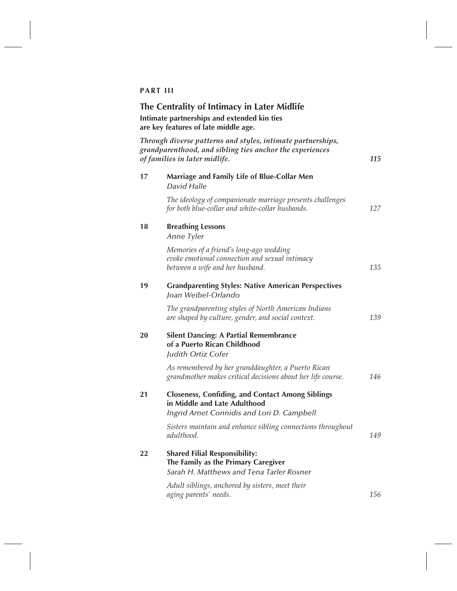# **PART III**

|    | The Centrality of Intimacy in Later Midlife<br>Intimate partnerships and extended kin ties                                                                                                       |     |
|----|--------------------------------------------------------------------------------------------------------------------------------------------------------------------------------------------------|-----|
|    | are key features of late middle age.<br>Through diverse patterns and styles, intimate partnerships,<br>grandparenthood, and sibling ties anchor the experiences<br>of families in later midlife. | 115 |
| 17 | Marriage and Family Life of Blue-Collar Men<br>David Halle                                                                                                                                       |     |
|    | The ideology of companionate marriage presents challenges<br>for both blue-collar and white-collar husbands.                                                                                     | 127 |
| 18 | <b>Breathing Lessons</b><br>Anne Tyler                                                                                                                                                           |     |
|    | Memories of a friend's long-ago wedding<br>evoke emotional connection and sexual intimacy<br>between a wife and her husband.                                                                     | 135 |
| 19 | <b>Grandparenting Styles: Native American Perspectives</b><br>Joan Weibel-Orlando                                                                                                                |     |
|    | The grandparenting styles of North American Indians<br>are shaped by culture, gender, and social context.                                                                                        | 139 |
| 20 | <b>Silent Dancing: A Partial Remembrance</b><br>of a Puerto Rican Childhood<br>Judith Ortiz Cofer                                                                                                |     |
|    | As remembered by her granddaughter, a Puerto Rican<br>grandmother makes critical decisions about her life course.                                                                                | 146 |
| 21 | <b>Closeness, Confiding, and Contact Among Siblings</b><br>in Middle and Late Adulthood<br>Ingrid Arnet Connidis and Lori D. Campbell                                                            |     |
|    | Sisters maintain and enhance sibling connections throughout<br>adulthood.                                                                                                                        | 149 |
| 22 | <b>Shared Filial Responsibility:</b><br>The Family as the Primary Caregiver<br>Sarah H. Matthews and Tena Tarler Rosner                                                                          |     |
|    | Adult siblings, anchored by sisters, meet their<br>aging parents' needs.                                                                                                                         | 156 |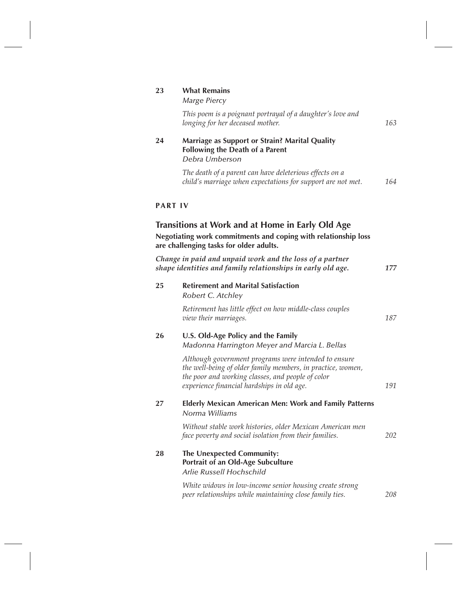### **23 What Remains**

*Marge Piercy*

*This poem is a poignant portrayal of a daughter's love and longing for her deceased mother. 163*

#### **24 Marriage as Support or Strain? Marital Quality Following the Death of a Parent** *Debra Umberson*

*The death of a parent can have deleterious effects on a child's marriage when expectations for support are not met. 164*

#### **PART IV**

#### **Transitions at Work and at Home in Early Old Age**

**Negotiating work commitments and coping with relationship loss are challenging tasks for older adults.**

|    | Change in paid and unpaid work and the loss of a partner<br>shape identities and family relationships in early old age.                                                                                                | 177 |
|----|------------------------------------------------------------------------------------------------------------------------------------------------------------------------------------------------------------------------|-----|
| 25 | <b>Retirement and Marital Satisfaction</b><br>Robert C. Atchley                                                                                                                                                        |     |
|    | Retirement has little effect on how middle-class couples<br>view their marriages.                                                                                                                                      | 187 |
| 26 | U.S. Old-Age Policy and the Family<br>Madonna Harrington Meyer and Marcia L. Bellas                                                                                                                                    |     |
|    | Although government programs were intended to ensure<br>the well-being of older family members, in practice, women,<br>the poor and working classes, and people of color<br>experience financial hardships in old age. | 191 |
| 27 | <b>Elderly Mexican American Men: Work and Family Patterns</b><br>Norma Williams                                                                                                                                        |     |
|    | Without stable work histories, older Mexican American men<br>face poverty and social isolation from their families.                                                                                                    | 202 |
| 28 | The Unexpected Community:<br>Portrait of an Old-Age Subculture<br>Arlie Russell Hochschild                                                                                                                             |     |
|    | White widows in low-income senior housing create strong<br>peer relationships while maintaining close family ties.                                                                                                     | 208 |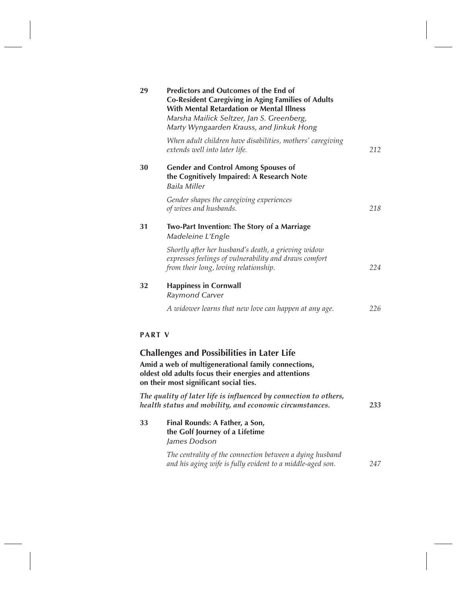| 29            | <b>Predictors and Outcomes of the End of</b><br><b>Co-Resident Caregiving in Aging Families of Adults</b><br><b>With Mental Retardation or Mental Illness</b><br>Marsha Mailick Seltzer, Jan S. Greenberg,<br>Marty Wyngaarden Krauss, and Jinkuk Hong |     |  |
|---------------|--------------------------------------------------------------------------------------------------------------------------------------------------------------------------------------------------------------------------------------------------------|-----|--|
|               | When adult children have disabilities, mothers' caregiving<br>extends well into later life.                                                                                                                                                            | 212 |  |
| 30            | <b>Gender and Control Among Spouses of</b><br>the Cognitively Impaired: A Research Note<br><b>Baila Miller</b>                                                                                                                                         |     |  |
|               | Gender shapes the caregiving experiences<br>of wives and husbands.                                                                                                                                                                                     | 218 |  |
| 31            | Two-Part Invention: The Story of a Marriage<br>Madeleine L'Engle                                                                                                                                                                                       |     |  |
|               | Shortly after her husband's death, a grieving widow<br>expresses feelings of vulnerability and draws comfort<br>from their long, loving relationship.                                                                                                  | 224 |  |
| 32            | <b>Happiness in Cornwall</b><br><b>Raymond Carver</b>                                                                                                                                                                                                  |     |  |
|               | A widower learns that new love can happen at any age.                                                                                                                                                                                                  | 226 |  |
| <b>PART V</b> |                                                                                                                                                                                                                                                        |     |  |

# **Challenges and Possibilities in Later Life**

|    | Chancinges and Fossibilities in Eater Ene                                                                                                              |     |
|----|--------------------------------------------------------------------------------------------------------------------------------------------------------|-----|
|    | Amid a web of multigenerational family connections,<br>oldest old adults focus their energies and attentions<br>on their most significant social ties. |     |
|    | The quality of later life is influenced by connection to others,<br>health status and mobility, and economic circumstances.                            | 233 |
| 33 | Final Rounds: A Father, a Son,<br>the Golf Journey of a Lifetime<br>James Dodson                                                                       |     |
|    | The centrality of the connection between a dying husband                                                                                               |     |

*and his aging wife is fully evident to a middle-aged son. 247*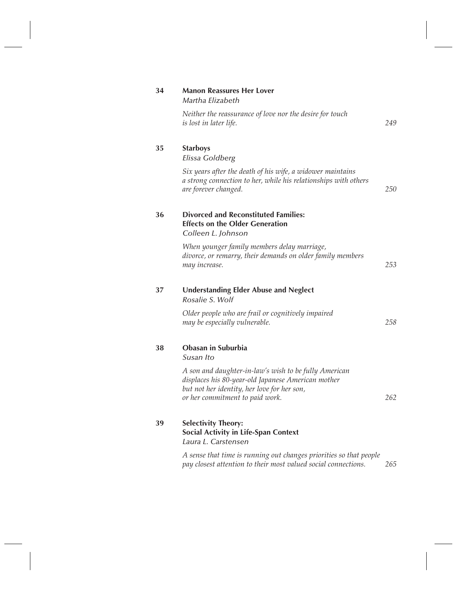| 34 | <b>Manon Reassures Her Lover</b><br>Martha Elizabeth                                                                                                                                          |     |
|----|-----------------------------------------------------------------------------------------------------------------------------------------------------------------------------------------------|-----|
|    | Neither the reassurance of love nor the desire for touch<br>is lost in later life.                                                                                                            | 249 |
| 35 | <b>Starboys</b><br>Elissa Goldberg                                                                                                                                                            |     |
|    | Six years after the death of his wife, a widower maintains<br>a strong connection to her, while his relationships with others<br>are forever changed.                                         | 250 |
| 36 | <b>Divorced and Reconstituted Families:</b><br><b>Effects on the Older Generation</b><br>Colleen L. Johnson                                                                                   |     |
|    | When younger family members delay marriage,<br>divorce, or remarry, their demands on older family members<br>may increase.                                                                    | 253 |
| 37 | <b>Understanding Elder Abuse and Neglect</b><br>Rosalie S. Wolf                                                                                                                               |     |
|    | Older people who are frail or cognitively impaired<br>may be especially vulnerable.                                                                                                           | 258 |
| 38 | Obasan in Suburbia<br>Susan Ito                                                                                                                                                               |     |
|    | A son and daughter-in-law's wish to be fully American<br>displaces his 80-year-old Japanese American mother<br>but not her identity, her love for her son,<br>or her commitment to paid work. | 262 |
| 39 | <b>Selectivity Theory:</b><br><b>Social Activity in Life-Span Context</b><br>Laura L. Carstensen                                                                                              |     |
|    | A sense that time is running out changes priorities so that people<br>pay closest attention to their most valued social connections.                                                          | 265 |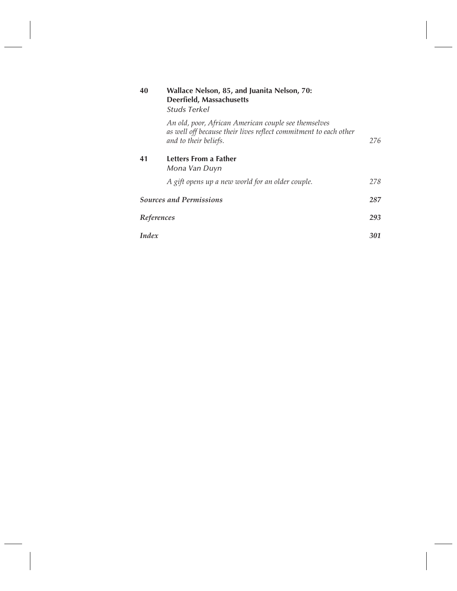| 40         | Wallace Nelson, 85, and Juanita Nelson, 70:<br>Deerfield, Massachusetts<br>Studs Terkel                                                           |     |
|------------|---------------------------------------------------------------------------------------------------------------------------------------------------|-----|
|            | An old, poor, African American couple see themselves<br>as well off because their lives reflect commitment to each other<br>and to their beliefs. | 276 |
| 41         | Letters From a Father<br>Mona Van Duyn                                                                                                            |     |
|            | A gift opens up a new world for an older couple.                                                                                                  | 278 |
|            | <b>Sources and Permissions</b>                                                                                                                    | 287 |
| References |                                                                                                                                                   | 293 |
| Index      |                                                                                                                                                   | 301 |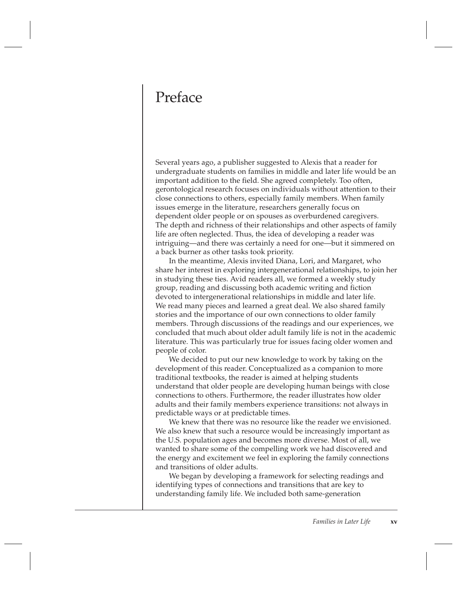# Preface

Several years ago, a publisher suggested to Alexis that a reader for undergraduate students on families in middle and later life would be an important addition to the field. She agreed completely. Too often, gerontological research focuses on individuals without attention to their close connections to others, especially family members. When family issues emerge in the literature, researchers generally focus on dependent older people or on spouses as overburdened caregivers. The depth and richness of their relationships and other aspects of family life are often neglected. Thus, the idea of developing a reader was intriguing—and there was certainly a need for one—but it simmered on a back burner as other tasks took priority.

In the meantime, Alexis invited Diana, Lori, and Margaret, who share her interest in exploring intergenerational relationships, to join her in studying these ties. Avid readers all, we formed a weekly study group, reading and discussing both academic writing and fiction devoted to intergenerational relationships in middle and later life. We read many pieces and learned a great deal. We also shared family stories and the importance of our own connections to older family members. Through discussions of the readings and our experiences, we concluded that much about older adult family life is not in the academic literature. This was particularly true for issues facing older women and people of color.

We decided to put our new knowledge to work by taking on the development of this reader. Conceptualized as a companion to more traditional textbooks, the reader is aimed at helping students understand that older people are developing human beings with close connections to others. Furthermore, the reader illustrates how older adults and their family members experience transitions: not always in predictable ways or at predictable times.

We knew that there was no resource like the reader we envisioned. We also knew that such a resource would be increasingly important as the U.S. population ages and becomes more diverse. Most of all, we wanted to share some of the compelling work we had discovered and the energy and excitement we feel in exploring the family connections and transitions of older adults.

We began by developing a framework for selecting readings and identifying types of connections and transitions that are key to understanding family life. We included both same-generation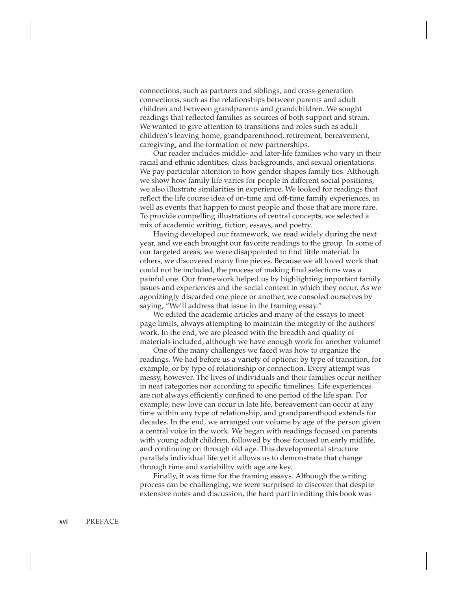connections, such as partners and siblings, and cross-generation connections, such as the relationships between parents and adult children and between grandparents and grandchildren. We sought readings that reflected families as sources of both support and strain. We wanted to give attention to transitions and roles such as adult children's leaving home, grandparenthood, retirement, bereavement, caregiving, and the formation of new partnerships.

Our reader includes middle- and later-life families who vary in their racial and ethnic identities, class backgrounds, and sexual orientations. We pay particular attention to how gender shapes family ties. Although we show how family life varies for people in different social positions, we also illustrate similarities in experience. We looked for readings that reflect the life course idea of on-time and off-time family experiences, as well as events that happen to most people and those that are more rare. To provide compelling illustrations of central concepts, we selected a mix of academic writing, fiction, essays, and poetry.

Having developed our framework, we read widely during the next year, and we each brought our favorite readings to the group. In some of our targeted areas, we were disappointed to find little material. In others, we discovered many fine pieces. Because we all loved work that could not be included, the process of making final selections was a painful one. Our framework helped us by highlighting important family issues and experiences and the social context in which they occur. As we agonizingly discarded one piece or another, we consoled ourselves by saying, "We'll address that issue in the framing essay."

We edited the academic articles and many of the essays to meet page limits, always attempting to maintain the integrity of the authors' work. In the end, we are pleased with the breadth and quality of materials included, although we have enough work for another volume!

One of the many challenges we faced was how to organize the readings. We had before us a variety of options: by type of transition, for example, or by type of relationship or connection. Every attempt was messy, however. The lives of individuals and their families occur neither in neat categories nor according to specific timelines. Life experiences are not always efficiently confined to one period of the life span. For example, new love can occur in late life, bereavement can occur at any time within any type of relationship, and grandparenthood extends for decades. In the end, we arranged our volume by age of the person given a central voice in the work. We began with readings focused on parents with young adult children, followed by those focused on early midlife, and continuing on through old age. This developmental structure parallels individual life yet it allows us to demonstrate that change through time and variability with age are key.

Finally, it was time for the framing essays. Although the writing process can be challenging, we were surprised to discover that despite extensive notes and discussion, the hard part in editing this book was